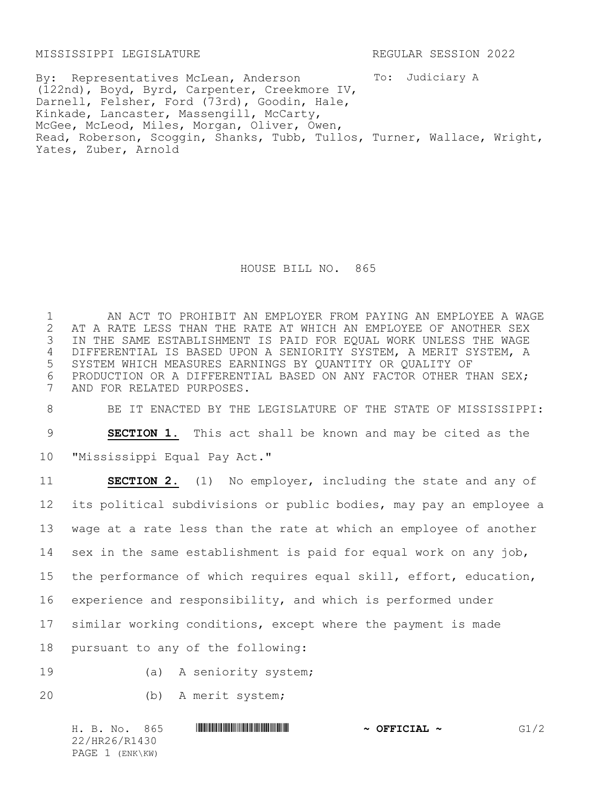MISSISSIPPI LEGISLATURE REGULAR SESSION 2022

To: Judiciary A By: Representatives McLean, Anderson (122nd), Boyd, Byrd, Carpenter, Creekmore IV, Darnell, Felsher, Ford (73rd), Goodin, Hale, Kinkade, Lancaster, Massengill, McCarty, McGee, McLeod, Miles, Morgan, Oliver, Owen, Read, Roberson, Scoggin, Shanks, Tubb, Tullos, Turner, Wallace, Wright, Yates, Zuber, Arnold

HOUSE BILL NO. 865

1 AN ACT TO PROHIBIT AN EMPLOYER FROM PAYING AN EMPLOYEE A WAGE 2 AT A RATE LESS THAN THE RATE AT WHICH AN EMPLOYEE OF ANOTHER SEX<br>3 IN THE SAME ESTABLISHMENT IS PAID FOR EQUAL WORK UNLESS THE WAGE IN THE SAME ESTABLISHMENT IS PAID FOR EQUAL WORK UNLESS THE WAGE 4 DIFFERENTIAL IS BASED UPON A SENIORITY SYSTEM, A MERIT SYSTEM, A 5 SYSTEM WHICH MEASURES EARNINGS BY QUANTITY OR QUALITY OF 6 PRODUCTION OR A DIFFERENTIAL BASED ON ANY FACTOR OTHER THAN SEX;<br>7 AND FOR RELATED PURPOSES. AND FOR RELATED PURPOSES.

8 BE IT ENACTED BY THE LEGISLATURE OF THE STATE OF MISSISSIPPI:

9 **SECTION 1.** This act shall be known and may be cited as the

10 "Mississippi Equal Pay Act."

 **SECTION 2.** (1) No employer, including the state and any of its political subdivisions or public bodies, may pay an employee a wage at a rate less than the rate at which an employee of another sex in the same establishment is paid for equal work on any job, the performance of which requires equal skill, effort, education, experience and responsibility, and which is performed under similar working conditions, except where the payment is made pursuant to any of the following:

19 (a) A seniority system;

20 (b) A merit system;

H. B. No. 865 \*HR26/R1430\* **~ OFFICIAL ~** G1/2 22/HR26/R1430 PAGE 1 (ENK\KW)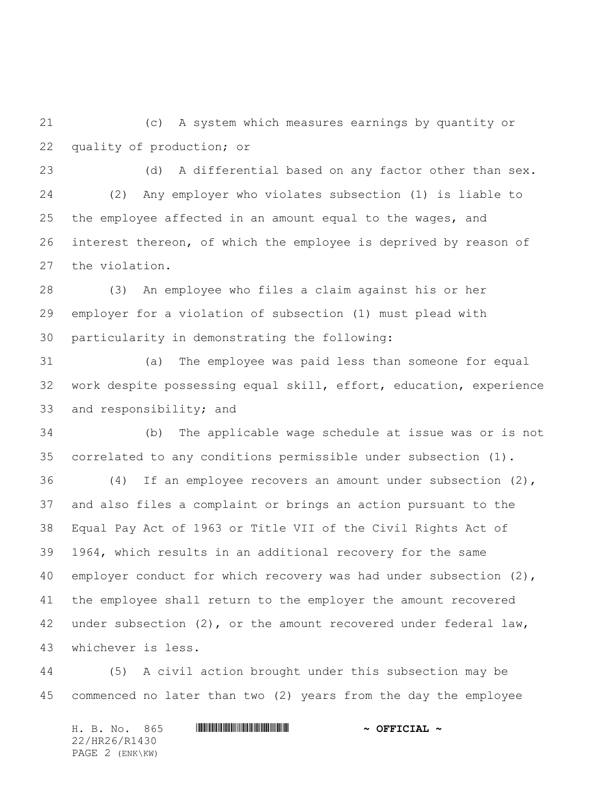(c) A system which measures earnings by quantity or quality of production; or

 (d) A differential based on any factor other than sex. (2) Any employer who violates subsection (1) is liable to the employee affected in an amount equal to the wages, and interest thereon, of which the employee is deprived by reason of the violation.

 (3) An employee who files a claim against his or her employer for a violation of subsection (1) must plead with particularity in demonstrating the following:

 (a) The employee was paid less than someone for equal work despite possessing equal skill, effort, education, experience and responsibility; and

 (b) The applicable wage schedule at issue was or is not correlated to any conditions permissible under subsection (1).

 (4) If an employee recovers an amount under subsection (2), and also files a complaint or brings an action pursuant to the Equal Pay Act of 1963 or Title VII of the Civil Rights Act of 1964, which results in an additional recovery for the same 40 employer conduct for which recovery was had under subsection (2), the employee shall return to the employer the amount recovered under subsection (2), or the amount recovered under federal law, whichever is less.

 (5) A civil action brought under this subsection may be commenced no later than two (2) years from the day the employee

H. B. No. 865 \*HR26/R1430\* **~ OFFICIAL ~** 22/HR26/R1430 PAGE 2 (ENK\KW)